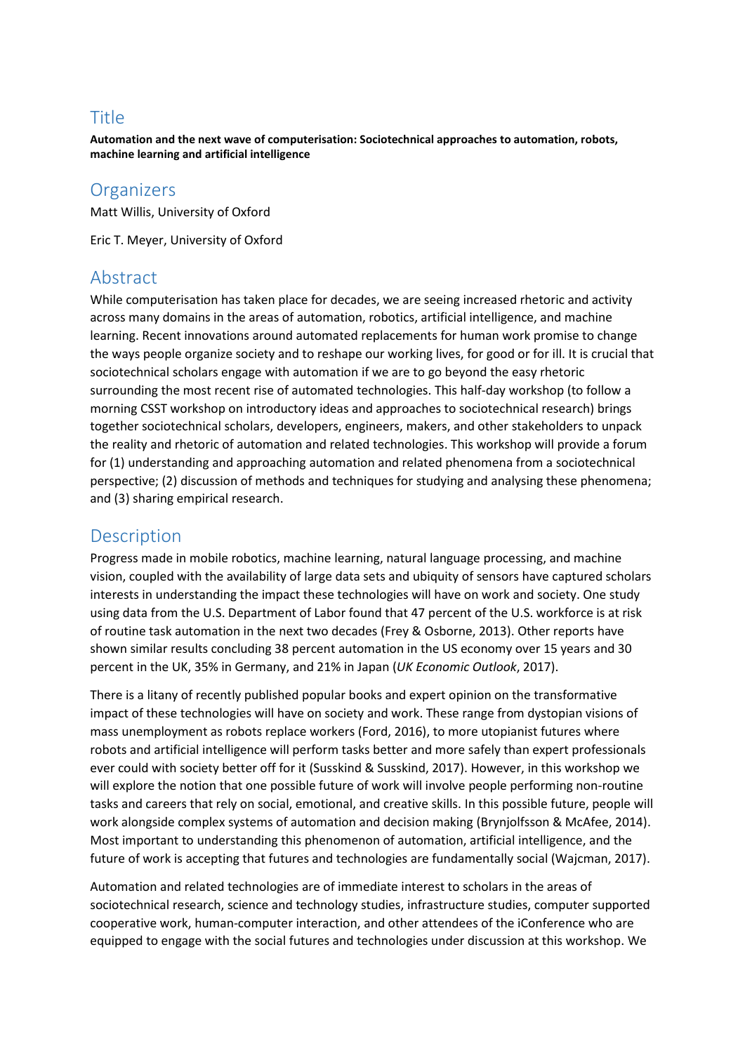# Title

**Automation and the next wave of computerisation: Sociotechnical approaches to automation, robots, machine learning and artificial intelligence**

## **Organizers**

Matt Willis, University of Oxford

Eric T. Meyer, University of Oxford

## Abstract

While computerisation has taken place for decades, we are seeing increased rhetoric and activity across many domains in the areas of automation, robotics, artificial intelligence, and machine learning. Recent innovations around automated replacements for human work promise to change the ways people organize society and to reshape our working lives, for good or for ill. It is crucial that sociotechnical scholars engage with automation if we are to go beyond the easy rhetoric surrounding the most recent rise of automated technologies. This half-day workshop (to follow a morning CSST workshop on introductory ideas and approaches to sociotechnical research) brings together sociotechnical scholars, developers, engineers, makers, and other stakeholders to unpack the reality and rhetoric of automation and related technologies. This workshop will provide a forum for (1) understanding and approaching automation and related phenomena from a sociotechnical perspective; (2) discussion of methods and techniques for studying and analysing these phenomena; and (3) sharing empirical research.

# **Description**

Progress made in mobile robotics, machine learning, natural language processing, and machine vision, coupled with the availability of large data sets and ubiquity of sensors have captured scholars interests in understanding the impact these technologies will have on work and society. One study using data from the U.S. Department of Labor found that 47 percent of the U.S. workforce is at risk of routine task automation in the next two decades (Frey & Osborne, 2013). Other reports have shown similar results concluding 38 percent automation in the US economy over 15 years and 30 percent in the UK, 35% in Germany, and 21% in Japan (*UK Economic Outlook*, 2017).

There is a litany of recently published popular books and expert opinion on the transformative impact of these technologies will have on society and work. These range from dystopian visions of mass unemployment as robots replace workers (Ford, 2016), to more utopianist futures where robots and artificial intelligence will perform tasks better and more safely than expert professionals ever could with society better off for it (Susskind & Susskind, 2017). However, in this workshop we will explore the notion that one possible future of work will involve people performing non-routine tasks and careers that rely on social, emotional, and creative skills. In this possible future, people will work alongside complex systems of automation and decision making (Brynjolfsson & McAfee, 2014). Most important to understanding this phenomenon of automation, artificial intelligence, and the future of work is accepting that futures and technologies are fundamentally social (Wajcman, 2017).

Automation and related technologies are of immediate interest to scholars in the areas of sociotechnical research, science and technology studies, infrastructure studies, computer supported cooperative work, human-computer interaction, and other attendees of the iConference who are equipped to engage with the social futures and technologies under discussion at this workshop. We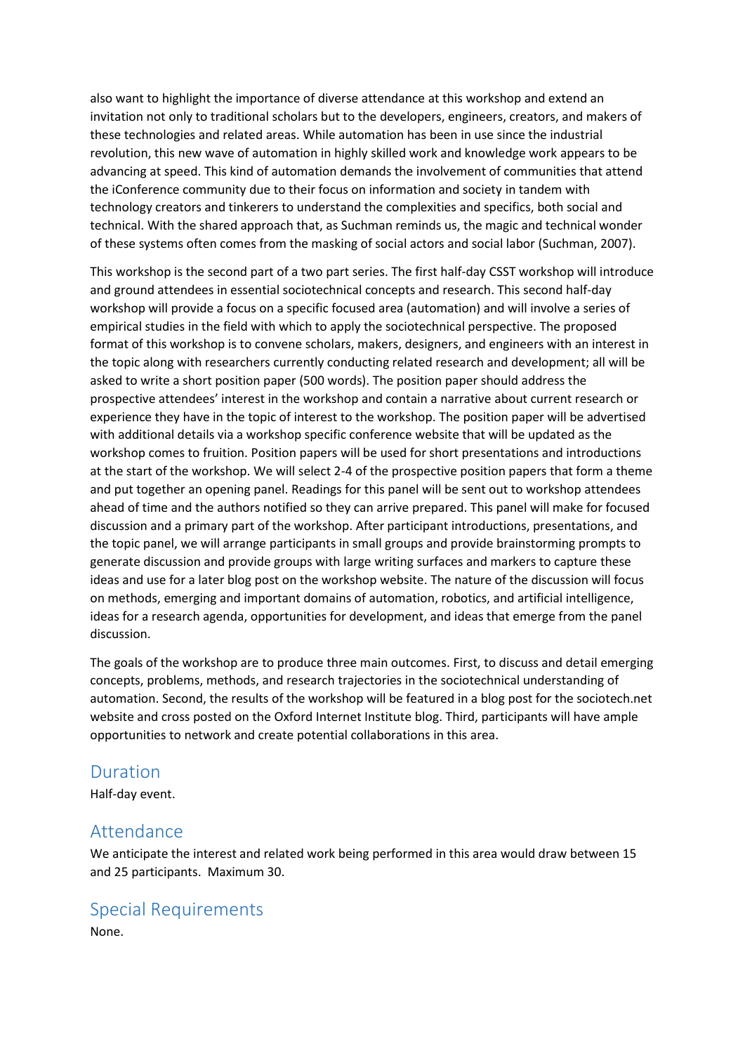also want to highlight the importance of diverse attendance at this workshop and extend an invitation not only to traditional scholars but to the developers, engineers, creators, and makers of these technologies and related areas. While automation has been in use since the industrial revolution, this new wave of automation in highly skilled work and knowledge work appears to be advancing at speed. This kind of automation demands the involvement of communities that attend the iConference community due to their focus on information and society in tandem with technology creators and tinkerers to understand the complexities and specifics, both social and technical. With the shared approach that, as Suchman reminds us, the magic and technical wonder of these systems often comes from the masking of social actors and social labor (Suchman, 2007).

This workshop is the second part of a two part series. The first half-day CSST workshop will introduce and ground attendees in essential sociotechnical concepts and research. This second half-day workshop will provide a focus on a specific focused area (automation) and will involve a series of empirical studies in the field with which to apply the sociotechnical perspective. The proposed format of this workshop is to convene scholars, makers, designers, and engineers with an interest in the topic along with researchers currently conducting related research and development; all will be asked to write a short position paper (500 words). The position paper should address the prospective attendees' interest in the workshop and contain a narrative about current research or experience they have in the topic of interest to the workshop. The position paper will be advertised with additional details via a workshop specific conference website that will be updated as the workshop comes to fruition. Position papers will be used for short presentations and introductions at the start of the workshop. We will select 2-4 of the prospective position papers that form a theme and put together an opening panel. Readings for this panel will be sent out to workshop attendees ahead of time and the authors notified so they can arrive prepared. This panel will make for focused discussion and a primary part of the workshop. After participant introductions, presentations, and the topic panel, we will arrange participants in small groups and provide brainstorming prompts to generate discussion and provide groups with large writing surfaces and markers to capture these ideas and use for a later blog post on the workshop website. The nature of the discussion will focus on methods, emerging and important domains of automation, robotics, and artificial intelligence, ideas for a research agenda, opportunities for development, and ideas that emerge from the panel discussion.

The goals of the workshop are to produce three main outcomes. First, to discuss and detail emerging concepts, problems, methods, and research trajectories in the sociotechnical understanding of automation. Second, the results of the workshop will be featured in a blog post for the sociotech.net website and cross posted on the Oxford Internet Institute blog. Third, participants will have ample opportunities to network and create potential collaborations in this area.

#### Duration

Half-day event.

## Attendance

We anticipate the interest and related work being performed in this area would draw between 15 and 25 participants. Maximum 30.

## Special Requirements

None.